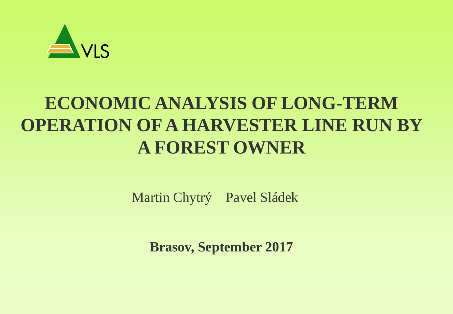

## **ECONOMIC ANALYSIS OF LONG-TERM OPERATION OF A HARVESTER LINE RUN BY A FOREST OWNER**

Martin Chytrý Pavel Sládek

**Brasov, September 2017**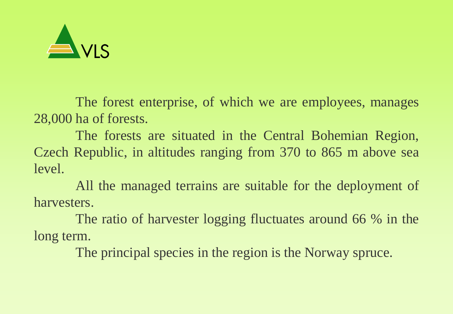

The forest enterprise, of which we are employees, manages 28,000 ha of forests.

The forests are situated in the Central Bohemian Region, Czech Republic, in altitudes ranging from 370 to 865 m above sea level.

All the managed terrains are suitable for the deployment of harvesters.

The ratio of harvester logging fluctuates around 66 % in the long term.

The principal species in the region is the Norway spruce.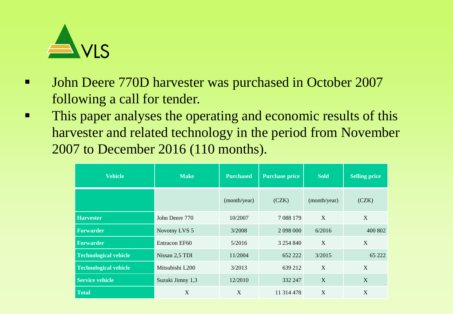

- **UPE:** John Deere 770D harvester was purchased in October 2007 following a call for tender.
- This paper analyses the operating and economic results of this harvester and related technology in the period from November 2007 to December 2016 (110 months).

| <b>Vehicle</b>               | <b>Make</b>      | <b>Purchased</b> | <b>Purchase price</b> | <b>Sold</b>  | <b>Selling price</b> |
|------------------------------|------------------|------------------|-----------------------|--------------|----------------------|
|                              |                  | (month/year)     | (CZK)                 | (month/year) | (CZK)                |
| <b>Harvester</b>             | John Deere 770   | 10/2007          | 7 0 8 1 7 9           | $\mathbf{X}$ | X                    |
| <b>Forwarder</b>             | Novotny LVS 5    | 3/2008           | 2 098 000             | 6/2016       | 400 802              |
| <b>Forwarder</b>             | Entracon EF60    | 5/2016           | 3 2 5 4 8 4 0         | X            | X                    |
| <b>Technological vehicle</b> | Nissan 2,5 TDI   | 11/2004          | 652 222               | 3/2015       | 65 222               |
| <b>Technological vehicle</b> | Mitsubishi L200  | 3/2013           | 639 212               | X            | X                    |
| <b>Service vehicle</b>       | Suzuki Jimny 1,3 | 12/2010          | 332 247               | X            | X                    |
| <b>Total</b>                 | X                | X                | 11 314 478            | X            | X                    |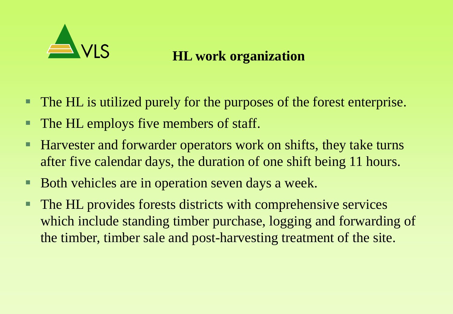

#### **HL work organization**

- The HL is utilized purely for the purposes of the forest enterprise.
- **The HL employs five members of staff.**
- **Harvester and forwarder operators work on shifts, they take turns** after five calendar days, the duration of one shift being 11 hours.
- Both vehicles are in operation seven days a week.
- The HL provides forests districts with comprehensive services which include standing timber purchase, logging and forwarding of the timber, timber sale and post-harvesting treatment of the site.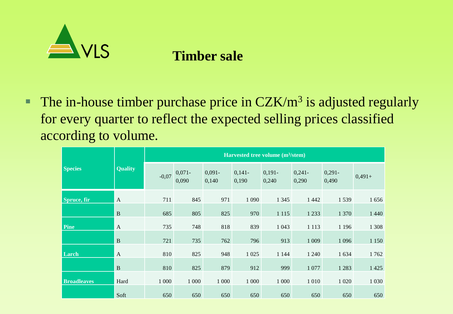

#### **Timber sale**

The in-house timber purchase price in  $CZK/m^3$  is adjusted regularly for every quarter to reflect the expected selling prices classified according to volume.

|                    |                |         |                   |                    |                   | Harvested tree volume $(m^3/\text{stem})$ |                   |                   |          |
|--------------------|----------------|---------|-------------------|--------------------|-------------------|-------------------------------------------|-------------------|-------------------|----------|
| <b>Species</b>     | <b>Quality</b> | $-0,07$ | $0,071-$<br>0,090 | $0,091 -$<br>0,140 | $0,141-$<br>0,190 | $0,191-$<br>0,240                         | $0,241-$<br>0,290 | $0,291-$<br>0,490 | $0,491+$ |
| Spruce, fir        | $\overline{A}$ | 711     | 845               | 971                | 1 0 9 0           | 1 3 4 5                                   | 1 4 4 2           | 1539              | 1656     |
|                    | $\, {\bf B}$   | 685     | 805               | 825                | 970               | 1 1 1 5                                   | 1 2 3 3           | 1 370             | 1 4 4 0  |
| Pine               | $\mathbf{A}$   | 735     | 748               | 818                | 839               | 1 0 4 3                                   | 1 1 1 3           | 1 1 9 6           | 1 3 0 8  |
|                    | $\, {\bf B}$   | 721     | 735               | 762                | 796               | 913                                       | 1 0 0 9           | 1 0 9 6           | 1 1 5 0  |
| Larch              | $\mathbf{A}$   | 810     | 825               | 948                | 1 0 25            | 1 1 4 4                                   | 1 2 4 0           | 1 6 3 4           | 1762     |
|                    | $\, {\bf B}$   | 810     | 825               | 879                | 912               | 999                                       | 1 0 7 7           | 1 2 8 3           | 1425     |
| <b>Broadleaves</b> | Hard           | 1 0 0 0 | 1 0 0 0           | 1 0 0 0            | 1 0 0 0           | 1 0 0 0                                   | 1 0 1 0           | 1 0 20            | 1 0 3 0  |
|                    | Soft           | 650     | 650               | 650                | 650               | 650                                       | 650               | 650               | 650      |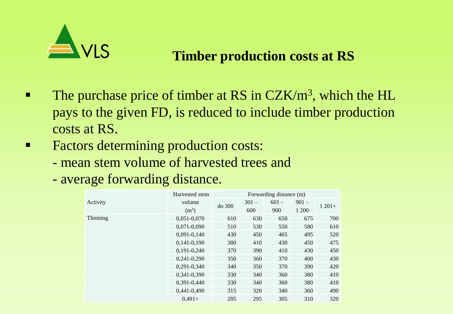

#### **Timber production costs at RS**

- The purchase price of timber at RS in  $CZK/m^3$ , which the HL pays to the given FD, is reduced to include timber production costs at RS.
- **Factors determining production costs:** 
	- mean stem volume of harvested trees and
	- average forwarding distance.

|          | Harvested stem    |        | Forwarding distance (m) |         |         |         |
|----------|-------------------|--------|-------------------------|---------|---------|---------|
| Activity | volume            | do 300 | $301 -$                 | $601 -$ | $901 -$ | $1201+$ |
|          | (m <sup>3</sup> ) |        | 600                     | 900     | 1 200   |         |
| Thinning | $0,051-0,070$     | 610    | 630                     | 650     | 675     | 700     |
|          | $0,071-0,090$     | 510    | 530                     | 550     | 580     | 610     |
|          | $0,091-0,140$     | 430    | 450                     | 465     | 495     | 520     |
|          | $0,141-0,190$     | 380    | 410                     | 430     | 450     | 475     |
|          | 0,191-0,240       | 370    | 390                     | 410     | 430     | 450     |
|          | $0,241-0,290$     | 350    | 360                     | 370     | 400     | 430     |
|          | $0,291-0,340$     | 340    | 350                     | 370     | 390     | 420     |
|          | 0,341-0,390       | 330    | 340                     | 360     | 380     | 410     |
|          | $0,391-0,440$     | 330    | 340                     | 360     | 380     | 410     |
|          | 0,441-0,490       | 315    | 320                     | 340     | 360     | 490     |
|          | $0,491+$          | 285    | 295                     | 305     | 310     | 320     |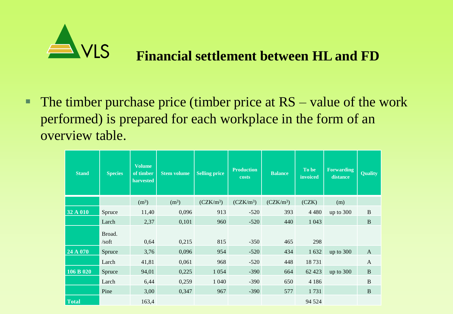

The timber purchase price (timber price at  $RS - value$  of the work performed) is prepared for each workplace in the form of an overview table.

| <b>Stand</b> | <b>Species</b>         | Volume<br>of timber<br>harvested | <b>Stem volume</b> | <b>Selling price</b> | <b>Production</b><br>costs | <b>Balance</b> | To be<br>invoiced | <b>Forwarding</b><br>distance | <b>Quality</b> |
|--------------|------------------------|----------------------------------|--------------------|----------------------|----------------------------|----------------|-------------------|-------------------------------|----------------|
|              |                        | (m <sup>3</sup> )                | (m <sup>3</sup> )  | $(CZK/m^3)$          | $(CZK/m^3)$                | $(CZK/m^3)$    | (CZK)             | (m)                           |                |
| 32 A 010     | Spruce                 | 11,40                            | 0,096              | 913                  | $-520$                     | 393            | 4 4 8 0           | up to $300$                   | $\, {\bf B}$   |
|              | Larch                  | 2,37                             | 0,101              | 960                  | $-520$                     | 440            | 1 0 4 3           |                               | $\bf{B}$       |
|              | Broad.                 |                                  |                    |                      |                            |                |                   |                               |                |
|              | $\sqrt{\mathrm{soft}}$ | 0,64                             | 0,215              | 815                  | $-350$                     | 465            | 298               |                               |                |
| 24 A 070     | Spruce                 | 3,76                             | 0,096              | 954                  | $-520$                     | 434            | 1 6 3 2           | up to $300$                   | $\mathbf{A}$   |
|              | Larch                  | 41,81                            | 0,061              | 968                  | $-520$                     | 448            | 18731             |                               | $\mathbf{A}$   |
| 106 B 020    | Spruce                 | 94,01                            | 0,225              | 1 0 5 4              | $-390$                     | 664            | 62 4 23           | up to $300$                   | $\, {\bf B}$   |
|              | Larch                  | 6,44                             | 0,259              | 1 0 4 0              | $-390$                     | 650            | 4 1 8 6           |                               | B              |
|              | Pine                   | 3,00                             | 0,347              | 967                  | $-390$                     | 577            | 1731              |                               | $\, {\bf B}$   |
| <b>Total</b> |                        | 163,4                            |                    |                      |                            |                | 94 5 24           |                               |                |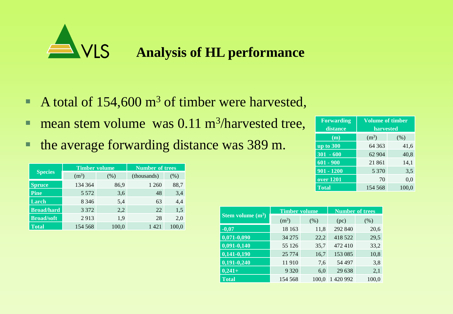

- A total of  $154,600 \text{ m}^3$  of timber were harvested,
- **nean stem volume was 0.11 m<sup>3</sup>/harvested tree,**
- the average forwarding distance was 389 m.

|                   | <b>Timber volume</b> |       | <b>Number of trees</b> |       |
|-------------------|----------------------|-------|------------------------|-------|
| <b>Species</b>    | $(m^3)$              | (% )  | (thousands)            | (% )  |
| <b>Spruce</b>     | 134 364              | 86,9  | 1 260                  | 88,7  |
| <b>Pine</b>       | 5 5 7 2              | 3,6   | 48                     | 3,4   |
| Larch             | 8 3 4 6              | 5,4   | 63                     | 4,4   |
| <b>Broad/hard</b> | 3 3 7 2              | 2,2   | 22                     | 1.5   |
| <b>Broad/soft</b> | 2913                 | 1,9   | 28                     | 2,0   |
| <b>Total</b>      | 154 568              | 100,0 | 1 421                  | 100,0 |

| <b>Forwarding</b><br>distance | <b>Volume of timber</b><br>harvested |       |  |  |  |
|-------------------------------|--------------------------------------|-------|--|--|--|
| (m)                           | (m <sup>3</sup> )                    | (% )  |  |  |  |
| up to 300                     | 64 3 63                              | 41,6  |  |  |  |
| $301 - 600$                   | 62 904                               | 40,8  |  |  |  |
| $601 - 900$                   | 21 861                               | 14,1  |  |  |  |
| $901 - 1200$                  | 5 3 7 0                              | 3,5   |  |  |  |
| $over 1201$                   | 70                                   | 0,0   |  |  |  |
| <b>Total</b>                  | 154 568                              | 100.0 |  |  |  |

|                     | <b>Timber volume</b> |       | <b>Number of trees</b> |       |  |
|---------------------|----------------------|-------|------------------------|-------|--|
| Stem volume $(m^3)$ | (m <sup>3</sup> )    | (% )  | (pc)                   | (% )  |  |
| $-0,07$             | 18 163               | 11,8  | 292 840                | 20,6  |  |
| $0,071-0,090$       | 34 275               | 22,2  | 418 522                | 29,5  |  |
| $0,091-0,140$       | 55 126               | 35,7  | 472410                 | 33,2  |  |
| $0,141-0,190$       | 25 7 7 4             | 16,7  | 153 085                | 10,8  |  |
| $0,191-0,240$       | 11910                | 7,6   | 54 497                 | 3,8   |  |
| $0,241+$            | 9 3 2 0              | 6,0   | 29 638                 | 2,1   |  |
| <b>Total</b>        | 154 568              | 100.0 | 420 992                | 100,0 |  |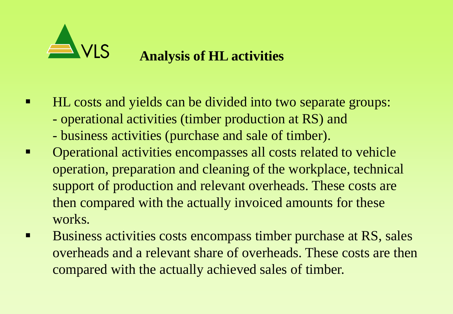

#### **Analysis of HL activities**

- **HL** costs and yields can be divided into two separate groups:
	- operational activities (timber production at RS) and
	- business activities (purchase and sale of timber).
- Operational activities encompasses all costs related to vehicle operation, preparation and cleaning of the workplace, technical support of production and relevant overheads. These costs are then compared with the actually invoiced amounts for these works.
- Business activities costs encompass timber purchase at RS, sales overheads and a relevant share of overheads. These costs are then compared with the actually achieved sales of timber.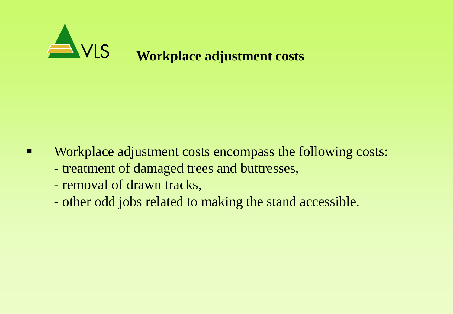

- **EXECUTE:** Workplace adjustment costs encompass the following costs:
	- treatment of damaged trees and buttresses,
	- removal of drawn tracks,
	- other odd jobs related to making the stand accessible.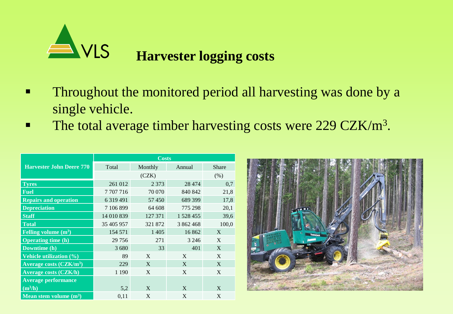

- **Throughout the monitored period all harvesting was done by a** single vehicle.
- The total average timber harvesting costs were  $229 \text{ CZK/m}^3$ .

|                                 | <b>Costs</b>  |         |           |              |  |  |  |
|---------------------------------|---------------|---------|-----------|--------------|--|--|--|
| <b>Harvester John Deere 770</b> | Total         | Monthly | Annual    | <b>Share</b> |  |  |  |
|                                 |               | (CZK)   |           | (% )         |  |  |  |
| <b>Tyres</b>                    | 261 012       | 2 3 7 3 | 28 4 74   | 0,7          |  |  |  |
| <b>Fuel</b>                     | 7707716       | 70 070  | 840 842   | 21,8         |  |  |  |
| <b>Repairs and operation</b>    | 6 3 1 9 4 9 1 | 57450   | 689 399   | 17,8         |  |  |  |
| <b>Depreciation</b>             | 7 106 899     | 64 608  | 775 298   | 20,1         |  |  |  |
| <b>Staff</b>                    | 14 010 839    | 127 371 | 1 528 455 | 39,6         |  |  |  |
| <b>Total</b>                    | 35 405 957    | 321 872 | 3 862 468 | 100,0        |  |  |  |
| Felling volume $(m^3)$          | 154 571       | 1405    | 16862     | X            |  |  |  |
| <b>Operating time (h)</b>       | 29 75 6       | 271     | 3 2 4 6   | X            |  |  |  |
| Downtime (h)                    | 3680          | 33      | 401       | X            |  |  |  |
| <b>Vehicle utilization (%)</b>  | 89            | X       | X         | X            |  |  |  |
| Average costs $(CZK/m3)$        | 229           | X       | X         | X            |  |  |  |
| <b>Average costs (CZK/h)</b>    | 1 1 9 0       | X       | X         | X            |  |  |  |
| <b>Average performance</b>      |               |         |           |              |  |  |  |
| $(m^3/h)$                       | 5,2           | X       | X         | X            |  |  |  |
| Mean stem volume $(m^3)$        | 0,11          | X       | X         | X            |  |  |  |

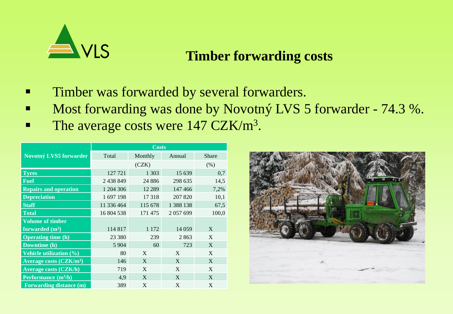

#### **Timber forwarding costs**

- **Timber was forwarded by several forwarders.**
- Most forwarding was done by Novotný LVS 5 forwarder 74.3 %.
- The average costs were  $147 \text{ CZK/m}^3$ .

|                                          | <b>Costs</b> |          |               |              |  |  |
|------------------------------------------|--------------|----------|---------------|--------------|--|--|
| Novotný LVS5 forwarder                   | Total        | Monthly  | Annual        | <b>Share</b> |  |  |
|                                          |              | (CZK)    |               | $(\% )$      |  |  |
| <b>Tyres</b>                             | 127 721      | 1 3 0 3  | 15 639        | 0,7          |  |  |
| <b>Fuel</b>                              | 2 438 849    | 24 8 8 6 | 298 635       | 14,5         |  |  |
| <b>Repairs and operation</b>             | 1 204 306    | 12 2 8 9 | 147466        | 7,2%         |  |  |
| <b>Depreciation</b>                      | 1 697 198    | 17318    | 207 820       | 10,1         |  |  |
| <b>Staff</b>                             | 11 336 464   | 115 678  | 1 3 8 1 1 3 8 | 67,5         |  |  |
| <b>Total</b>                             | 16 804 538   | 171475   | 2057699       | 100,0        |  |  |
| <b>Volume of timber</b>                  |              |          |               |              |  |  |
| forwarded $(m^3)$                        | 114 817      | 1 1 7 2  | 14 0 59       | X            |  |  |
| <b>Operating time (h)</b>                | 23 380       | 239      | 2863          | X            |  |  |
| Downtime (h)                             | 5 9 0 4      | 60       | 723           | X            |  |  |
| <b>Vehicle utilization (%)</b>           | 80           | X        | X             | X            |  |  |
| <b>Average costs (CZK/m<sup>3</sup>)</b> | 146          | X        | X             | X            |  |  |
| <b>Average costs (CZK/h)</b>             | 719          | X        | X             | X            |  |  |
| Performance $(m^3/h)$                    | 4,9          | X        | X             | X            |  |  |
| <b>Forwarding distance (m)</b>           | 389          | X        | X             | X            |  |  |

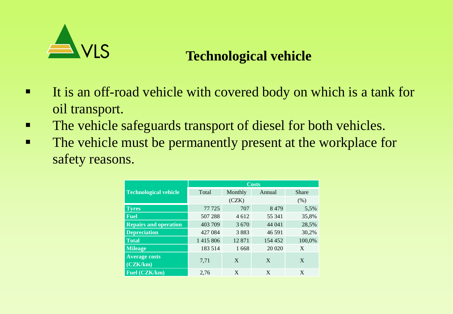

#### **Technological vehicle**

- It is an off-road vehicle with covered body on which is a tank for oil transport.
- The vehicle safeguards transport of diesel for both vehicles.
- The vehicle must be permanently present at the workplace for safety reasons.

|                              | <b>Costs</b>  |         |         |              |  |  |
|------------------------------|---------------|---------|---------|--------------|--|--|
| <b>Technological vehicle</b> | Total         | Monthly | Annual  | <b>Share</b> |  |  |
|                              |               | (CZK)   |         | (% )         |  |  |
| <b>Tyres</b>                 | 77 725        | 5,5%    |         |              |  |  |
| <b>Fuel</b>                  | 507 288       | 4 6 1 2 | 55 341  | 35,8%        |  |  |
| <b>Repairs and operation</b> | 403 709       | 3670    | 44 041  | 28,5%        |  |  |
| <b>Depreciation</b>          | 427 084       | 3883    | 46 591  | 30,2%        |  |  |
| <b>Total</b>                 | 1 4 1 5 8 0 6 | 12871   | 154 452 | 100,0%       |  |  |
| <b>Mileage</b>               | 183 514       | 1668    | 20 020  | X            |  |  |
| <b>Average costs</b>         |               |         |         |              |  |  |
| (CZK/km)                     | 7,71          | X       | X       | X            |  |  |
| Fuel (CZK/km)                | 2,76          | X       | X       | X            |  |  |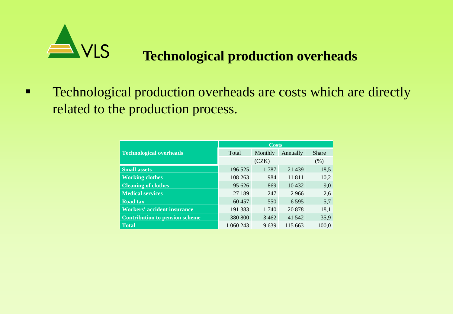

#### **Technological production overheads**

**EXECUTE:** Technological production overheads are costs which are directly related to the production process.

|                                       | <b>Costs</b> |         |          |              |  |  |
|---------------------------------------|--------------|---------|----------|--------------|--|--|
| <b>Technological overheads</b>        | Total        | Monthly | Annually | <b>Share</b> |  |  |
|                                       |              | (CZK)   |          | (% )         |  |  |
| <b>Small assets</b>                   | 196 525      | 1787    | 21 4 39  | 18,5         |  |  |
| <b>Working clothes</b>                | 108 263      | 984     | 11811    | 10,2         |  |  |
| <b>Cleaning of clothes</b>            | 95 626       | 869     | 10432    | 9,0          |  |  |
| <b>Medical services</b>               | 27 189       | 247     | 2966     | 2,6          |  |  |
| <b>Road tax</b>                       | 60457        | 550     | 6 5 9 5  | 5,7          |  |  |
| <b>Workers' accident insurance</b>    | 191 383      | 1 740   | 20 878   | 18,1         |  |  |
| <b>Contribution to pension scheme</b> | 380 800      | 3462    | 41 542   | 35,9         |  |  |
| <b>Total</b>                          | 1 060 243    | 9639    | 115 663  | 100,0        |  |  |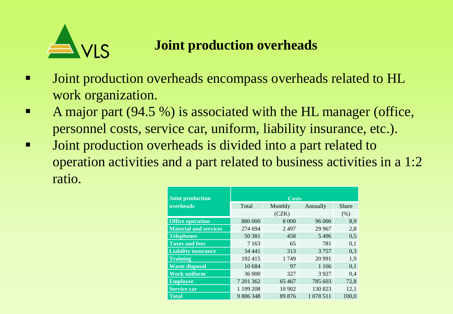

#### **Joint production overheads**

- **Joint production overheads encompass overheads related to HL** work organization.
- A major part (94.5 %) is associated with the HL manager (office, personnel costs, service car, uniform, liability insurance, etc.).
- I Joint production overheads is divided into a part related to operation activities and a part related to business activities in a 1:2 ratio.

| <b>Joint production</b>      | <b>Costs</b> |         |             |       |  |  |
|------------------------------|--------------|---------|-------------|-------|--|--|
| overheads                    | Total        | Monthly | Annually    | Share |  |  |
|                              |              | (CZK)   |             | (% )  |  |  |
| <b>Office operation</b>      | 880 000      | 8 0 0 0 | 96 000      | 8,9   |  |  |
| <b>Material and services</b> | 274 694      | 2497    | 29 9 67     | 2,8   |  |  |
| <b>Telephones</b>            | 50 381       | 458     | 5496        | 0,5   |  |  |
| <b>Taxes and fees</b>        | 7 1 6 3      | 65      | 781         | 0,1   |  |  |
| <b>Liability insurance</b>   | 34 44 1      | 313     | 3757        | 0,3   |  |  |
| <b>Training</b>              | 192415       | 1749    | 20 9 91     | 1,9   |  |  |
| <b>Waste disposal</b>        | 10 684       | 97      | 1 1 6 6     | 0,1   |  |  |
| <b>Work uniform</b>          | 36 000       | 327     | 3927        | 0,4   |  |  |
| <b>Employee</b>              | 7 201 362    | 65 4 67 | 785 603     | 72,8  |  |  |
| <b>Service car</b>           | 1 199 208    | 10 902  | 130 823     | 12,1  |  |  |
| <b>Total</b>                 | 9886348      | 89 876  | 1 0 78 5 11 | 100.0 |  |  |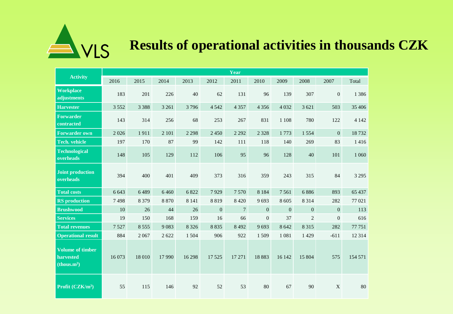

# **Results of operational activities in thousands CZK**

| <b>Activity</b>                                                 | Year    |         |         |         |              |                |                |                |                |                |         |
|-----------------------------------------------------------------|---------|---------|---------|---------|--------------|----------------|----------------|----------------|----------------|----------------|---------|
|                                                                 | 2016    | 2015    | 2014    | 2013    | 2012         | 2011           | 2010           | 2009           | 2008           | 2007           | Total   |
| <b>Workplace</b><br>adjustments                                 | 183     | 201     | 226     | 40      | 62           | 131            | 96             | 139            | 307            | $\mathbf{0}$   | 1 3 8 6 |
| <b>Harvester</b>                                                | 3 5 5 2 | 3 3 8 8 | 3 2 6 1 | 3796    | 4 5 4 2      | 4 3 5 7        | 4 3 5 6        | 4 0 3 2        | 3 6 21         | 503            | 35 40 6 |
| <b>Forwarder</b><br>contracted                                  | 143     | 314     | 256     | 68      | 253          | 267            | 831            | 1 1 0 8        | 780            | 122            | 4 1 4 2 |
| <b>Forwarder own</b>                                            | 2026    | 1911    | 2 101   | 2 2 9 8 | 2450         | 2 2 9 2        | 2 3 2 8        | 1773           | 1554           | $\overline{0}$ | 18732   |
| <b>Tech.</b> vehicle                                            | 197     | 170     | 87      | 99      | 142          | 111            | 118            | 140            | 269            | 83             | 1416    |
| <b>Technological</b><br>overheads                               | 148     | 105     | 129     | 112     | 106          | 95             | 96             | 128            | 40             | 101            | 1 0 6 0 |
| Joint production<br>overheads                                   | 394     | 400     | 401     | 409     | 373          | 316            | 359            | 243            | 315            | 84             | 3 2 9 5 |
| <b>Total costs</b>                                              | 6 6 4 3 | 6489    | 6460    | 6822    | 7929         | 7570           | 8 1 8 4        | 7 5 6 1        | 6886           | 893            | 65 437  |
| <b>RS</b> production                                            | 7498    | 8 3 7 9 | 8 8 7 0 | 8 1 4 1 | 8819         | 8 4 2 0        | 9693           | 8 6 0 5        | 8 3 1 4        | 282            | 77 021  |
| <b>Brushwood</b>                                                | 10      | 26      | 44      | 26      | $\mathbf{0}$ | $\overline{7}$ | $\overline{0}$ | $\overline{0}$ | $\overline{0}$ | $\mathbf{0}$   | 113     |
| <b>Services</b>                                                 | 19      | 150     | 168     | 159     | 16           | 66             | $\overline{0}$ | 37             | 2              | $\overline{0}$ | 616     |
| <b>Total revenues</b>                                           | 7527    | 8 5 5 5 | 9083    | 8 3 2 6 | 8 8 3 5      | 8 4 9 2        | 9693           | 8 6 4 2        | 8 3 1 5        | 282            | 77751   |
| <b>Operational result</b>                                       | 884     | 2067    | 2 6 2 2 | 1504    | 906          | 922            | 1509           | 1 0 8 1        | 1 4 2 9        | $-611$         | 12314   |
| <b>Volume of timber</b><br>harvested<br>(thous.m <sup>3</sup> ) | 16 073  | 18 010  | 17990   | 16298   | 17525        | 17 27 1        | 18883          | 16 142         | 15 804         | 575            | 154 571 |
| Profit $(CZK/m^3)$                                              | 55      | 115     | 146     | 92      | 52           | 53             | 80             | 67             | 90             | $\mathbf X$    | 80      |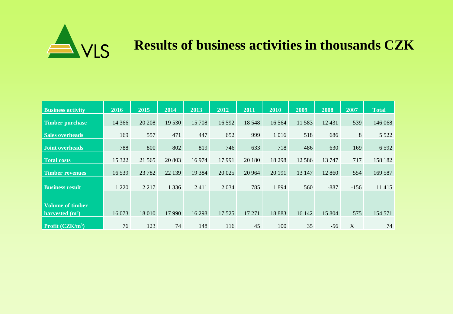

# **Results of business activities in thousands CZK**

| <b>Business activity</b>                     | 2016     | 2015    | 2014    | 2013    | 2012    | 2011    | 2010    | 2009     | 2008   | 2007   | <b>Total</b> |
|----------------------------------------------|----------|---------|---------|---------|---------|---------|---------|----------|--------|--------|--------------|
| <b>Timber purchase</b>                       | 14 3 6 6 | 20 20 8 | 19 530  | 15 708  | 16 592  | 18 5 48 | 16 5 64 | 11583    | 12431  | 539    | 146 068      |
| <b>Sales overheads</b>                       | 169      | 557     | 471     | 447     | 652     | 999     | 1 0 1 6 | 518      | 686    | 8      | 5 5 2 2      |
| <b>Joint overheads</b>                       | 788      | 800     | 802     | 819     | 746     | 633     | 718     | 486      | 630    | 169    | 6 5 9 2      |
| <b>Total costs</b>                           | 15 322   | 21 5 65 | 20 803  | 16974   | 17991   | 20 180  | 18 29 8 | 12 5 8 6 | 13747  | 717    | 158 182      |
|                                              |          |         |         |         |         |         |         |          |        |        |              |
| <b>Timber revenues</b>                       | 16539    | 23 7 82 | 22 139  | 19 3 84 | 20 025  | 20 964  | 20 19 1 | 13 147   | 12 860 | 554    | 169 587      |
| <b>Business result</b>                       | 1 2 2 0  | 2 2 1 7 | 1 3 3 6 | 2411    | 2 0 3 4 | 785     | 1894    | 560      | $-887$ | $-156$ | 11 4 15      |
|                                              |          |         |         |         |         |         |         |          |        |        |              |
| <b>Volume of timber</b><br>harvested $(m^3)$ | 16 073   | 18 010  | 17990   | 16 298  | 17525   | 17 27 1 | 18883   | 16 142   | 15 804 | 575    | 154 571      |
| Profit (CZK/m <sup>3</sup> )                 | 76       | 123     | 74      | 148     | 116     | 45      | 100     | 35       | $-56$  | X      | 74           |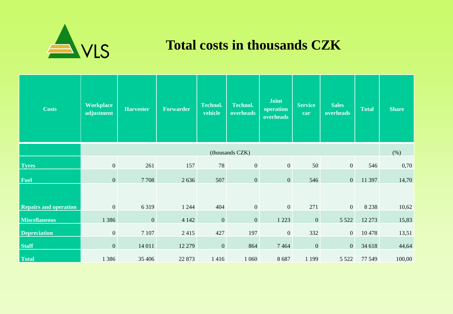

#### **Total costs in thousands CZK**

| <b>Costs</b>                 | <b>Workplace</b><br>adjustment | <b>Harvester</b> | <b>Forwarder</b> | <b>Technol.</b><br>vehicle | <b>Technol.</b><br>overheads | <b>Joint</b><br>operation<br>overheads | <b>Service</b><br>car | <b>Sales</b><br>overheads | <b>Total</b> | <b>Share</b> |  |  |
|------------------------------|--------------------------------|------------------|------------------|----------------------------|------------------------------|----------------------------------------|-----------------------|---------------------------|--------------|--------------|--|--|
|                              | (thousands CZK)                |                  |                  |                            |                              |                                        |                       |                           |              |              |  |  |
| <b>Tyres</b>                 | $\mathbf{0}$                   | 261              | 157              | 78                         | $\overline{0}$               | $\overline{0}$                         | 50                    | $\overline{0}$            | 546          | 0,70         |  |  |
| Fuel                         | $\mathbf{0}$                   | 7708             | 2636             | 507                        | $\mathbf{0}$                 | $\overline{0}$                         | 546                   | $\overline{0}$            | 11 397       | 14,70        |  |  |
|                              |                                |                  |                  |                            |                              |                                        |                       |                           |              |              |  |  |
| <b>Repairs and operation</b> | $\mathbf{0}$                   | 6319             | 1 2 4 4          | 404                        | $\mathbf{0}$                 | $\overline{0}$                         | 271                   | $\overline{0}$            | 8 2 3 8      | 10,62        |  |  |
| <b>Miscellaneous</b>         | 1 3 8 6                        | $\overline{0}$   | 4 1 4 2          | $\mathbf{0}$               | $\mathbf{0}$                 | 1 2 2 3                                | $\mathbf{0}$          | 5 5 2 2                   | 12 273       | 15,83        |  |  |
| <b>Depreciation</b>          | $\mathbf{0}$                   | 7 1 0 7          | 2415             | 427                        | 197                          | $\overline{0}$                         | 332                   | $\overline{0}$            | 10478        | 13,51        |  |  |
| <b>Staff</b>                 | $\mathbf{0}$                   | 14 011           | 12 279           | $\mathbf{0}$               | 864                          | 7464                                   | $\mathbf{0}$          | $\overline{0}$            | 34 618       | 44,64        |  |  |
| <b>Total</b>                 | 1 3 8 6                        | 35 40 6          | 22 873           | 1416                       | 1 0 6 0                      | 8687                                   | 1 1 9 9               | 5 5 2 2                   | 77 549       | 100,00       |  |  |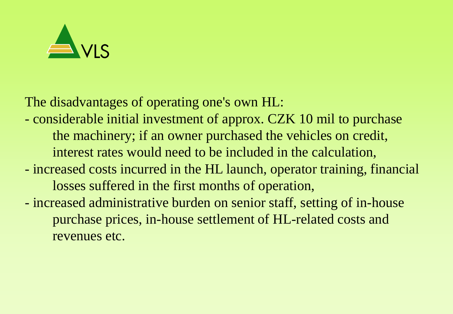

The disadvantages of operating one's own HL:

- considerable initial investment of approx. CZK 10 mil to purchase the machinery; if an owner purchased the vehicles on credit, interest rates would need to be included in the calculation,
- increased costs incurred in the HL launch, operator training, financial losses suffered in the first months of operation,
- increased administrative burden on senior staff, setting of in-house purchase prices, in-house settlement of HL-related costs and revenues etc.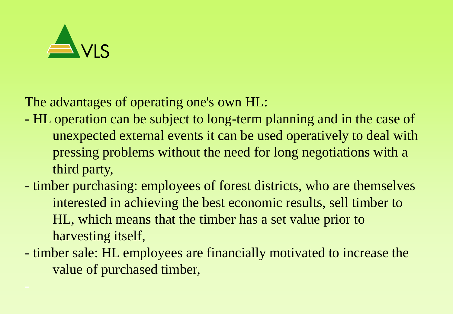

The advantages of operating one's own HL:

- HL operation can be subject to long-term planning and in the case of unexpected external events it can be used operatively to deal with pressing problems without the need for long negotiations with a third party,
- timber purchasing: employees of forest districts, who are themselves interested in achieving the best economic results, sell timber to HL, which means that the timber has a set value prior to harvesting itself,
- timber sale: HL employees are financially motivated to increase the value of purchased timber,